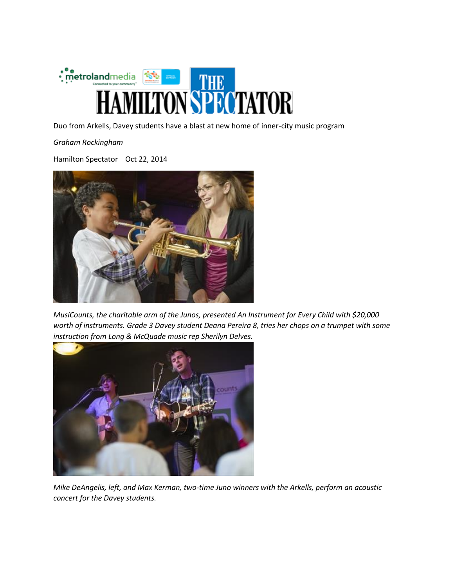

Duo from Arkells, Davey students have a blast at new home of inner-city music program

*Graham Rockingham*

Hamilton Spectator Oct 22, 2014



*MusiCounts, the charitable arm of the Junos, presented An Instrument for Every Child with \$20,000 worth of instruments. Grade 3 Davey student Deana Pereira 8, tries her chops on a trumpet with some instruction from Long & McQuade music rep Sherilyn Delves.*



*Mike DeAngelis, left, and Max Kerman, two-time Juno winners with the Arkells, perform an acoustic concert for the Davey students.*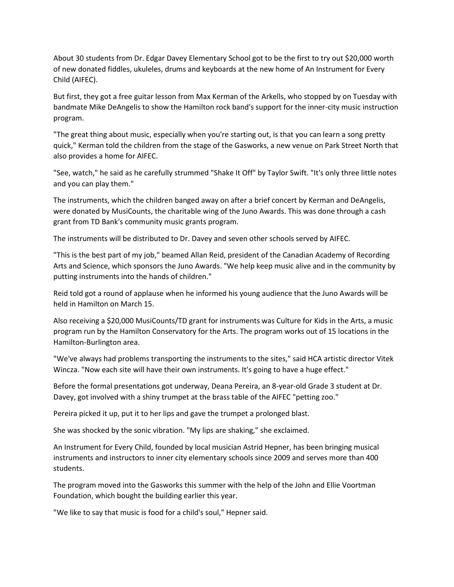About 30 students from Dr. Edgar Davey Elementary School got to be the first to try out \$20,000 worth of new donated fiddles, ukuleles, drums and keyboards at the new home of An Instrument for Every Child (AIFEC).

But first, they got a free guitar lesson from Max Kerman of the Arkells, who stopped by on Tuesday with bandmate Mike DeAngelis to show the Hamilton rock band's support for the inner-city music instruction program.

"The great thing about music, especially when you're starting out, is that you can learn a song pretty quick," Kerman told the children from the stage of the Gasworks, a new venue on Park Street North that also provides a home for AIFEC.

"See, watch," he said as he carefully strummed "Shake It Off" by Taylor Swift. "It's only three little notes and you can play them."

The instruments, which the children banged away on after a brief concert by Kerman and DeAngelis, were donated by MusiCounts, the charitable wing of the Juno Awards. This was done through a cash grant from TD Bank's community music grants program.

The instruments will be distributed to Dr. Davey and seven other schools served by AIFEC.

"This is the best part of my job," beamed Allan Reid, president of the Canadian Academy of Recording Arts and Science, which sponsors the Juno Awards. "We help keep music alive and in the community by putting instruments into the hands of children."

Reid told got a round of applause when he informed his young audience that the Juno Awards will be held in Hamilton on March 15.

Also receiving a \$20,000 MusiCounts/TD grant for instruments was Culture for Kids in the Arts, a music program run by the Hamilton Conservatory for the Arts. The program works out of 15 locations in the Hamilton-Burlington area.

"We've always had problems transporting the instruments to the sites," said HCA artistic director Vitek Wincza. "Now each site will have their own instruments. It's going to have a huge effect."

Before the formal presentations got underway, Deana Pereira, an 8-year-old Grade 3 student at Dr. Davey, got involved with a shiny trumpet at the brass table of the AIFEC "petting zoo."

Pereira picked it up, put it to her lips and gave the trumpet a prolonged blast.

She was shocked by the sonic vibration. "My lips are shaking," she exclaimed.

An Instrument for Every Child, founded by local musician Astrid Hepner, has been bringing musical instruments and instructors to inner city elementary schools since 2009 and serves more than 400 students.

The program moved into the Gasworks this summer with the help of the John and Ellie Voortman Foundation, which bought the building earlier this year.

"We like to say that music is food for a child's soul," Hepner said.